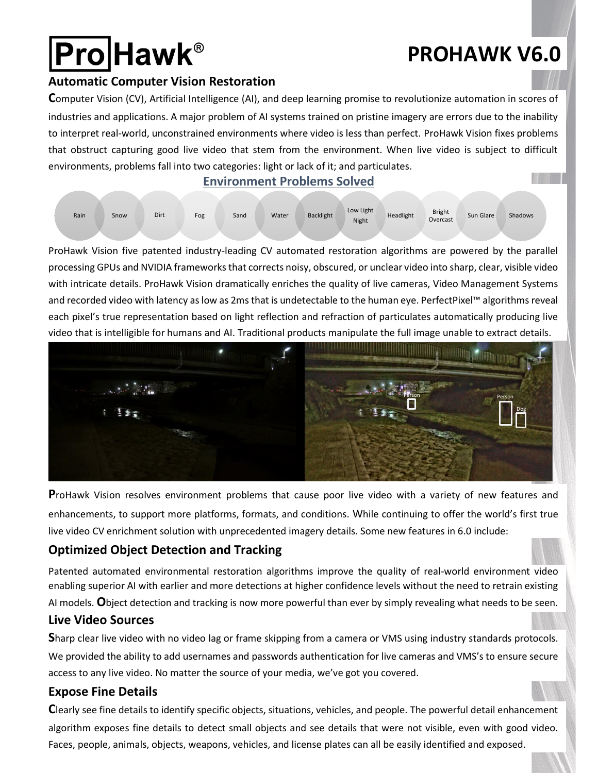# **Pro**Hawk®

# **PROHAWK V6.0**

#### **Automatic Computer Vision Restoration**

**C**omputer Vision (CV), Artificial Intelligence (AI), and deep learning promise to revolutionize automation in scores of industries and applications. A major problem of AI systems trained on pristine imagery are errors due to the inability to interpret real-world, unconstrained environments where video is less than perfect. ProHawk Vision fixes problems that obstruct capturing good live video that stem from the environment. When live video is subject to difficult environments, problems fall into two categories: light or lack of it; and particulates. **™**

#### **Environment Problems Solved**



ProHawk Vision five patented industry-leading CV automated restoration algorithms are powered by the parallel processing GPUs and NVIDIA frameworks that corrects noisy, obscured, or unclear video into sharp, clear, visible video with intricate details. ProHawk Vision dramatically enriches the quality of live cameras, Video Management Systems and recorded video with latency as low as 2ms that is undetectable to the human eye. PerfectPixel™ algorithms reveal each pixel's true representation based on light reflection and refraction of particulates automatically producing live video that is intelligible for humans and AI. Traditional products manipulate the full image unable to extract details.



**P**roHawk Vision resolves environment problems that cause poor live video with a variety of new features and enhancements, to support more platforms, formats, and conditions. While continuing to offer the world's first true live video CV enrichment solution with unprecedented imagery details. Some new features in 6.0 include:

### **Optimized Object Detection and Tracking**

Patented automated environmental restoration algorithms improve the quality of real-world environment video enabling superior AI with earlier and more detections at higher confidence levels without the need to retrain existing AI models. **O**bject detection and tracking is now more powerful than ever by simply revealing what needs to be seen. **Live Video Sources** 

**S**harp clear live video with no video lag or frame skipping from a camera or VMS using industry standards protocols. We provided the ability to add usernames and passwords authentication for live cameras and VMS's to ensure secure access to any live video. No matter the source of your media, we've got you covered.

#### **Expose Fine Details**

**C**learly see fine details to identify specific objects, situations, vehicles, and people. The powerful detail enhancement algorithm exposes fine details to detect small objects and see details that were not visible, even with good video. Faces, people, animals, objects, weapons, vehicles, and license plates can all be easily identified and exposed.